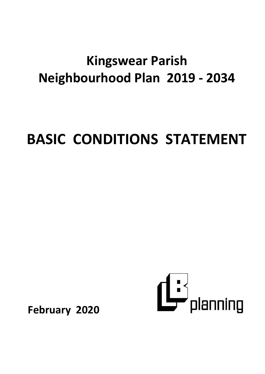## **Kingswear Parish Neighbourhood Plan 2019 - 2034**

# **BASIC CONDITIONS STATEMENT**



**February 2020**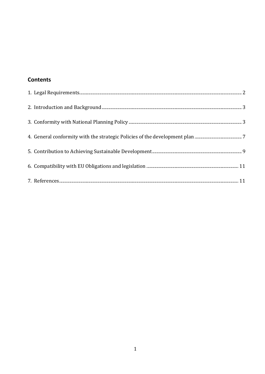## **Contents**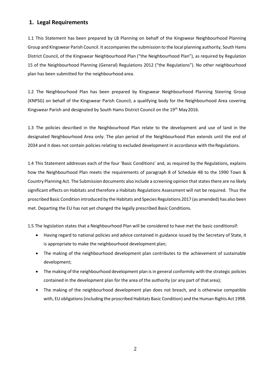#### <span id="page-2-0"></span>**1. Legal Requirements**

1.1 This Statement has been prepared by LB Planning on behalf of the Kingswear Neighbourhood Planning Group and Kingswear Parish Council. It accompaniesthe submission to the local planning authority, South Hams District Council, of the Kingswear Neighbourhood Plan ("the Neighbourhood Plan"), as required by Regulation 15 of the Neighbourhood Planning (General) Regulations 2012 ("the Regulations"). No other neighbourhood plan has been submitted for the neighbourhood area.

1.2 The Neighbourhood Plan has been prepared by Kingswear Neighbourhood Planning Steering Group (KNPSG) on behalf of the Kingswear Parish Council, a qualifying body for the Neighbourhood Area covering Kingswear Parish and designated by South Hams District Council on the 19<sup>th</sup> May 2016.

1.3 The policies described in the Neighbourhood Plan relate to the development and use of land in the designated Neighbourhood Area only. The plan period of the Neighbourhood Plan extends until the end of 2034 and it does not contain policies relating to excluded development in accordance with the Regulations.

1.4 This Statement addresses each of the four 'Basic Conditions' and, as required by the Regulations, explains how the Neighbourhood Plan meets the requirements of paragraph 8 of Schedule 4B to the 1990 Town & Country Planning Act. The Submission documents also include a screening opinion that states there are no likely significant effects on Habitats and therefore a Habitats Regulations Assessment will not be required. Thus the proscribed Basic Condition introduced by the Habitats and Species Regulations 2017 (as amended) has also been met. Departing the EU has not yet changed the legally prescribed Basic Conditions.

1.5 The legislation states that a Neighbourhood Plan will be considered to have met the basic conditionsif:

- Having regard to national policies and advice contained in guidance issued by the Secretary of State, it is appropriate to make the neighbourhood development plan;
- The making of the neighbourhood development plan contributes to the achievement of sustainable development;
- The making of the neighbourhood development plan is in general conformity with the strategic policies contained in the development plan for the area of the authority (or any part of that area);
- The making of the neighbourhood development plan does not breach, and is otherwise compatible with, EU obligations (including the proscribed Habitats Basic Condition) and the Human Rights Act 1998.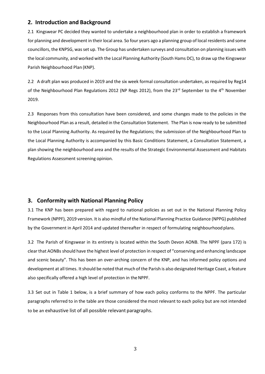### <span id="page-3-0"></span>**2. Introduction and Background**

2.1 Kingswear PC decided they wanted to undertake a neighbourhood plan in order to establish a framework for planning and development in their local area. So four years ago a planning group of local residents and some councillors, the KNPSG, was set up. The Group has undertaken surveys and consultation on planning issues with the local community, and worked with the Local Planning Authority (South Hams DC), to draw up the Kingswear Parish Neighbourhood Plan (KNP).

2.2 A draft plan was produced in 2019 and the six week formal consultation undertaken, as required by Reg14 of the Neighbourhood Plan Regulations 2012 (NP Regs 2012), from the 23<sup>rd</sup> September to the 4<sup>th</sup> November 2019.

2.3 Responses from this consultation have been considered, and some changes made to the policies in the Neighbourhood Plan as a result, detailed in the Consultation Statement. The Plan is now ready to be submitted to the Local Planning Authority. As required by the Regulations; the submission of the Neighbourhood Plan to the Local Planning Authority is accompanied by this Basic Conditions Statement, a Consultation Statement, a plan showing the neighbourhood area and the results of the Strategic Environmental Assessment and Habitats Regulations Assessment screening opinion.

#### <span id="page-3-1"></span>**3. Conformity with National Planning Policy**

3.1 The KNP has been prepared with regard to national policies as set out in the National Planning Policy Framework (NPPF), 2019 version. It is also mindful of the National Planning Practice Guidance (NPPG) published by the Government in April 2014 and updated thereafter in respect of formulating neighbourhood plans.

3.2 The Parish of Kingswear in its entirety is located within the South Devon AONB. The NPPF (para 172) is clearthat AONBs should have the highest level of protection in respect of "conserving and enhancing landscape and scenic beauty". This has been an over-arching concern of the KNP, and has informed policy options and development at all times. Itshould be noted that much of the Parish is also designated Heritage Coast, a feature also specifically offered a high level of protection in the NPPF.

3.3 Set out in Table 1 below, is a brief summary of how each policy conforms to the NPPF. The particular paragraphs referred to in the table are those considered the most relevant to each policy but are not intended to be an exhaustive list of all possible relevant paragraphs.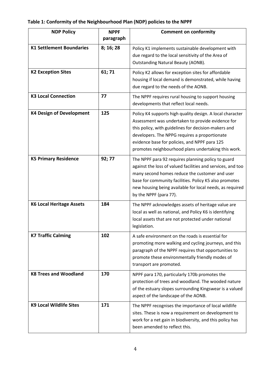## **Table 1: Conformity of the Neighbourhood Plan (NDP) policies to the NPPF**

| <b>NDP Policy</b>                      | <b>NPPF</b><br>paragraph | <b>Comment on conformity</b>                                                                                                                                                                                                                                                                                                    |  |  |  |  |
|----------------------------------------|--------------------------|---------------------------------------------------------------------------------------------------------------------------------------------------------------------------------------------------------------------------------------------------------------------------------------------------------------------------------|--|--|--|--|
| <b>K1 Settlement Boundaries</b>        | 8; 16; 28                | Policy K1 implements sustainable development with<br>due regard to the local sensitivity of the Area of<br><b>Outstanding Natural Beauty (AONB).</b>                                                                                                                                                                            |  |  |  |  |
| 61; 71<br><b>K2 Exception Sites</b>    |                          | Policy K2 allows for exception sites for affordable<br>housing if local demand is demonstrated, while having<br>due regard to the needs of the AONB.                                                                                                                                                                            |  |  |  |  |
| <b>K3 Local Connection</b>             | 77                       | The NPPF requires rural housing to support housing<br>developments that reflect local needs.                                                                                                                                                                                                                                    |  |  |  |  |
| 125<br><b>K4 Design of Development</b> |                          | Policy K4 supports high quality design. A local character<br>Assessment was undertaken to provide evidence for<br>this policy, with guidelines for decision-makers and<br>developers. The NPPG requires a proportionate<br>evidence base for policies, and NPPF para 125<br>promotes neighbourhood plans undertaking this work. |  |  |  |  |
| <b>K5 Primary Residence</b>            | 92; 77                   | The NPPF para 92 requires planning policy to guard<br>against the loss of valued facilities and services, and too<br>many second homes reduce the customer and user<br>base for community facilities. Policy K5 also promotes<br>new housing being available for local needs, as required<br>by the NPPF (para 77).             |  |  |  |  |
| <b>K6 Local Heritage Assets</b>        | 184                      | The NPPF acknowledges assets of heritage value are<br>local as well as national, and Policy K6 is identifying<br>local assets that are not protected under national<br>legislation.                                                                                                                                             |  |  |  |  |
| <b>K7 Traffic Calming</b>              | 102                      | A safe environment on the roads is essential for<br>promoting more walking and cycling journeys, and this<br>paragraph of the NPPF requires that opportunities to<br>promote these environmentally friendly modes of<br>transport are promoted.                                                                                 |  |  |  |  |
| <b>K8 Trees and Woodland</b>           | 170                      | NPPF para 170, particularly 170b promotes the<br>protection of trees and woodland. The wooded nature<br>of the estuary slopes surrounding Kingswear is a valued<br>aspect of the landscape of the AONB.                                                                                                                         |  |  |  |  |
| <b>K9 Local Wildlife Sites</b>         | 171                      | The NPPF recognises the importance of local wildlife<br>sites. These is now a requirement on development to<br>work for a net gain in biodiversity, and this policy has<br>been amended to reflect this.                                                                                                                        |  |  |  |  |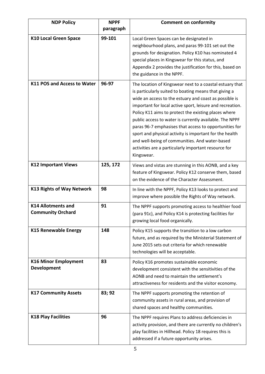| <b>NDP Policy</b>                                     | <b>NPPF</b><br>paragraph | <b>Comment on conformity</b>                                                                                                                                                                                                                                                                                                                                                                                                                                                                                                                                                                             |  |  |  |
|-------------------------------------------------------|--------------------------|----------------------------------------------------------------------------------------------------------------------------------------------------------------------------------------------------------------------------------------------------------------------------------------------------------------------------------------------------------------------------------------------------------------------------------------------------------------------------------------------------------------------------------------------------------------------------------------------------------|--|--|--|
| <b>K10 Local Green Space</b>                          | 99-101                   | Local Green Spaces can be designated in<br>neighbourhood plans, and paras 99-101 set out the<br>grounds for designation. Policy K10 has nominated 4<br>special places in Kingswear for this status, and<br>Appendix 2 provides the justification for this, based on<br>the guidance in the NPPF.                                                                                                                                                                                                                                                                                                         |  |  |  |
| 96-97<br><b>K11 POS and Access to Water</b>           |                          | The location of Kingswear next to a coastal estuary that<br>is particularly suited to boating means that giving a<br>wide an access to the estuary and coast as possible is<br>important for local active sport, leisure and recreation.<br>Policy K11 aims to protect the existing places where<br>public access to water is currently available. The NPPF<br>paras 96-7 emphasises that access to opportunities for<br>sport and physical activity is important for the health<br>and well-being of communities. And water-based<br>activities are a particularly important resource for<br>Kingswear. |  |  |  |
| <b>K12 Important Views</b>                            | 125, 172                 | Views and vistas are stunning in this AONB, and a key<br>feature of Kingswear. Policy K12 conserve them, based<br>on the evidence of the Character Assessment.                                                                                                                                                                                                                                                                                                                                                                                                                                           |  |  |  |
| <b>K13 Rights of Way Network</b>                      | 98                       | In line with the NPPF, Policy K13 looks to protect and<br>improve where possible the Rights of Way network.                                                                                                                                                                                                                                                                                                                                                                                                                                                                                              |  |  |  |
| <b>K14 Allotments and</b><br><b>Community Orchard</b> | 91                       | The NPPF supports promoting access to healthier food<br>(para 91c), and Policy K14 is protecting facilities for<br>growing local food organically.                                                                                                                                                                                                                                                                                                                                                                                                                                                       |  |  |  |
| <b>K15 Renewable Energy</b>                           | 148                      | Policy K15 supports the transition to a low carbon<br>future, and as required by the Ministerial Statement of<br>June 2015 sets out criteria for which renewable<br>technologies will be acceptable.                                                                                                                                                                                                                                                                                                                                                                                                     |  |  |  |
| <b>K16 Minor Employment</b><br><b>Development</b>     | 83                       | Policy K16 promotes sustainable economic<br>development consistent with the sensitivities of the<br>AONB and need to maintain the settlement's<br>attractiveness for residents and the visitor economy.                                                                                                                                                                                                                                                                                                                                                                                                  |  |  |  |
| <b>K17 Community Assets</b>                           | 83; 92                   | The NPPF supports promoting the retention of<br>community assets in rural areas, and provision of<br>shared spaces and healthy communities.                                                                                                                                                                                                                                                                                                                                                                                                                                                              |  |  |  |
| <b>K18 Play Facilities</b><br>96                      |                          | The NPPF requires Plans to address deficiencies in<br>activity provision, and there are currently no children's<br>play facilities in Hillhead. Policy 18 requires this is<br>addressed if a future opportunity arises.                                                                                                                                                                                                                                                                                                                                                                                  |  |  |  |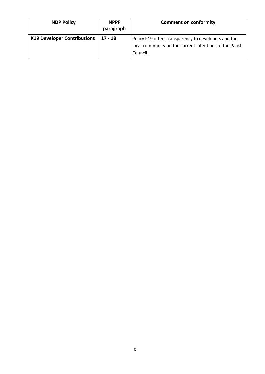<span id="page-6-0"></span>

| <b>NDP Policy</b>                  | <b>NPPF</b><br>paragraph | <b>Comment on conformity</b>                                                                                                |
|------------------------------------|--------------------------|-----------------------------------------------------------------------------------------------------------------------------|
| <b>K19 Developer Contributions</b> | $17 - 18$                | Policy K19 offers transparency to developers and the<br>local community on the current intentions of the Parish<br>Council. |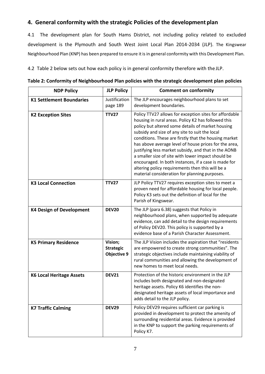## **4. General conformity with the strategic Policies of the development plan**

4.1 The development plan for South Hams District, not including policy related to excluded development is the Plymouth and South West Joint Local Plan 2014-2034 (JLP). The Kingswear Neighbourhood Plan (KNP) has been prepared to ensure it is in general conformity with this Development Plan.

4.2 Table 2 below sets out how each policy is in general conformity therefore with the JLP.

| <b>NDP Policy</b>                                                         | <b>JLP Policy</b>         | <b>Comment on conformity</b>                                                                                                                                                                                                                                                                                                                                                                                                                                                                                                                                                                                      |  |  |  |
|---------------------------------------------------------------------------|---------------------------|-------------------------------------------------------------------------------------------------------------------------------------------------------------------------------------------------------------------------------------------------------------------------------------------------------------------------------------------------------------------------------------------------------------------------------------------------------------------------------------------------------------------------------------------------------------------------------------------------------------------|--|--|--|
| <b>K1 Settlement Boundaries</b>                                           | Justification<br>page 189 | The JLP encourages neighbourhood plans to set<br>development boundaries.                                                                                                                                                                                                                                                                                                                                                                                                                                                                                                                                          |  |  |  |
| <b>K2 Exception Sites</b>                                                 | <b>TTV27</b>              | Policy TTV27 allows for exception sites for affordable<br>housing in rural areas. Policy K2 has followed this<br>policy but altered some details of market housing<br>subsidy and size of any site to suit the local<br>conditions. These are firstly that the housing market<br>has above average level of house prices for the area,<br>justifying less market subsidy, and that in the AONB<br>a smaller size of site with lower impact should be<br>encouraged. In both instances, if a case is made for<br>altering policy requirements then this will be a<br>material consideration for planning purposes. |  |  |  |
| <b>K3 Local Connection</b>                                                | <b>TTV27</b>              | JLP Policy TTV27 requires exception sites to meet a<br>proven need for affordable housing for local people.<br>Policy K3 sets out the definition of local for the<br>Parish of Kingswear.                                                                                                                                                                                                                                                                                                                                                                                                                         |  |  |  |
| <b>K4 Design of Development</b>                                           | <b>DEV20</b>              | The JLP (para 6.38) suggests that Policy in<br>neighbourhood plans, when supported by adequate<br>evidence, can add detail to the design requirements<br>of Policy DEV20. This policy is supported by a<br>evidence base of a Parish Character Assessment.                                                                                                                                                                                                                                                                                                                                                        |  |  |  |
| Vision;<br><b>K5 Primary Residence</b><br><b>Strategic</b><br>Objective 9 |                           | The JLP Vision includes the aspiration that "residents<br>are empowered to create strong communities". The<br>strategic objectives include maintaining viability of<br>rural communities and allowing the development of<br>new homes to meet local needs.                                                                                                                                                                                                                                                                                                                                                        |  |  |  |
| <b>K6 Local Heritage Assets</b>                                           | <b>DEV21</b>              | Protection of the historic environment in the JLP<br>includes both designated and non-designated<br>heritage assets. Policy K6 identifies the non-<br>designated heritage assets of local importance and<br>adds detail to the JLP policy.                                                                                                                                                                                                                                                                                                                                                                        |  |  |  |
| <b>DEV29</b><br><b>K7 Traffic Calming</b>                                 |                           | Policy DEV29 requires sufficient car parking is<br>provided in development to protect the amenity of<br>surrounding residential areas. Evidence is provided<br>in the KNP to support the parking requirements of<br>Policy K7.                                                                                                                                                                                                                                                                                                                                                                                    |  |  |  |

**Table 2: Conformity of Neighbourhood Plan policies with the strategic development plan policies**

 $\overline{\phantom{0}}$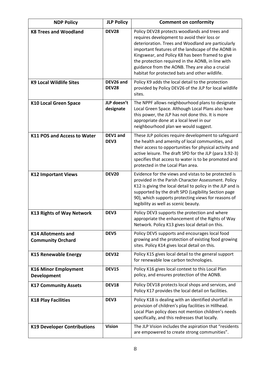| <b>NDP Policy</b>                                     | <b>JLP Policy</b>         | <b>Comment on conformity</b>                                                                                                                                                                                                                                                                                                                                                                                           |  |  |  |
|-------------------------------------------------------|---------------------------|------------------------------------------------------------------------------------------------------------------------------------------------------------------------------------------------------------------------------------------------------------------------------------------------------------------------------------------------------------------------------------------------------------------------|--|--|--|
| <b>K8 Trees and Woodland</b>                          | <b>DEV28</b>              | Policy DEV28 protects woodlands and trees and<br>requires development to avoid their loss or<br>deterioration. Trees and Woodland are particularly<br>important features of the landscape of the AONB in<br>Kingswear, and Policy K8 has been framed to give<br>the protection required in the AONB, in line with<br>guidance from the AONB. They are also a crucial<br>habitat for protected bats and other wildlife. |  |  |  |
| <b>K9 Local Wildlife Sites</b>                        | DEV26 and<br><b>DEV28</b> | Policy K9 adds the local detail to the protection<br>provided by Policy DEV26 of the JLP for local wildlife<br>sites.                                                                                                                                                                                                                                                                                                  |  |  |  |
| <b>K10 Local Green Space</b>                          | JLP doesn't<br>designate  | The NPPF allows neighbourhood plans to designate<br>Local Green Space. Although Local Plans also have<br>this power, the JLP has not done this. It is more<br>appropriate done at a local level in our<br>neighbourhood plan we would suggest.                                                                                                                                                                         |  |  |  |
| <b>K11 POS and Access to Water</b>                    | DEV1 and<br>DEV3          | These JLP policies require development to safeguard<br>the health and amenity of local communities, and<br>their access to opportunities for physical activity and<br>active leisure. The draft SPD for the JLP (para 3.92-3)<br>specifies that access to water is to be promoted and<br>protected in the Local Plan area.                                                                                             |  |  |  |
| <b>K12 Important Views</b>                            | <b>DEV20</b>              | Evidence for the views and vistas to be protected is<br>provided in the Parish Character Assessment. Policy<br>K12 is giving the local detail to policy in the JLP and is<br>supported by the draft SPD (Legibility Section page<br>90), which supports protecting views for reasons of<br>legibility as well as scenic beauty.                                                                                        |  |  |  |
| <b>K13 Rights of Way Network</b>                      | DEV3                      | Policy DEV3 supports the protection and where<br>appropriate the enhancement of the Rights of Way<br>Network. Policy K13 gives local detail on this.                                                                                                                                                                                                                                                                   |  |  |  |
| <b>K14 Allotments and</b><br><b>Community Orchard</b> | DEV5                      | Policy DEV5 supports and encourages local food<br>growing and the protection of existing food growing<br>sites. Policy K14 gives local detail on this.                                                                                                                                                                                                                                                                 |  |  |  |
| <b>K15 Renewable Energy</b>                           | <b>DEV32</b>              | Policy K15 gives local detail to the general support<br>for renewable low carbon technologies.                                                                                                                                                                                                                                                                                                                         |  |  |  |
| <b>K16 Minor Employment</b><br><b>Development</b>     | <b>DEV15</b>              | Policy K16 gives local context to this Local Plan<br>policy, and ensures protection of the AONB.                                                                                                                                                                                                                                                                                                                       |  |  |  |
| <b>K17 Community Assets</b>                           | <b>DEV18</b>              | Policy DEV18 protects local shops and services, and<br>Policy K17 provides the local detail on facilities.                                                                                                                                                                                                                                                                                                             |  |  |  |
| <b>K18 Play Facilities</b>                            | DEV3                      | Policy K18 is dealing with an identified shortfall in<br>provision of children's play facilities in Hillhead.<br>Local Plan policy does not mention children's needs<br>specifically, and this redresses that locally.                                                                                                                                                                                                 |  |  |  |
| <b>K19 Developer Contributions</b>                    | <b>Vision</b>             | The JLP Vision includes the aspiration that "residents<br>are empowered to create strong communities".                                                                                                                                                                                                                                                                                                                 |  |  |  |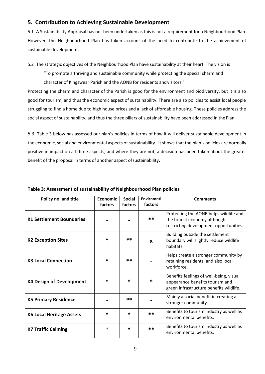## <span id="page-9-0"></span>**5. Contribution to Achieving Sustainable Development**

5.1 A Sustainability Appraisal has not been undertaken as this is not a requirement for a Neighbourhood Plan. However, the Neighbourhood Plan has taken account of the need to contribute to the achievement of sustainable development.

5.2 The strategic objectives of the Neighbourhood Plan have sustainability at their heart. The vision is

"To promote a thriving and sustainable community while protecting the special charm and

character of Kingswear Parish and the AONB for residents andvisitors."

Protecting the charm and character of the Parish is good for the environment and biodiversity, but it is also good for tourism, and thus the economic aspect of sustainability. There are also policies to assist local people struggling to find a home due to high house prices and a lack of affordable housing. These policies address the social aspect of sustainability, and thus the three pillars of sustainability have been addressed in thePlan.

5.3 Table 3 below has assessed our plan's policies in terms of how it will deliver sustainable development in the economic, social and environmental aspects of sustainability. It shows that the plan's policies are normally positive in impact on all three aspects, and where they are not, a decision has been taken about the greater benefit of the proposal in terms of another aspect ofsustainability.

| Policy no. and title            | <b>Economic</b><br>factors | <b>Social</b><br>factors | <b>Envirnmntl</b><br>factors | <b>Comments</b>                                                                                                       |
|---------------------------------|----------------------------|--------------------------|------------------------------|-----------------------------------------------------------------------------------------------------------------------|
| <b>K1 Settlement Boundaries</b> |                            |                          | $**$                         | Protecting the AONB helps wildlife and<br>the tourist economy although<br>restricting development opportunities.      |
| <b>K2 Exception Sites</b>       | $\ast$                     | $***$                    | $\mathbf x$                  | Building outside the settlement<br>boundary will slightly reduce wildlife<br>habitats.                                |
| <b>K3 Local Connection</b>      | *                          | $***$                    |                              | Helps create a stronger community by<br>retaining residents, and also local<br>workforce.                             |
| <b>K4 Design of Development</b> | $\ast$                     | *                        | $\ast$                       | Benefits feelings of well-being, visual<br>appearance benefits tourism and<br>green infrastructure benefits wildlife. |
| <b>K5 Primary Residence</b>     |                            | $***$                    |                              | Mainly a social benefit in creating a<br>stronger community.                                                          |
| <b>K6 Local Heritage Assets</b> | $\ast$                     | *                        | $***$                        | Benefits to tourism industry as well as<br>environmental benefits.                                                    |
| <b>K7 Traffic Calming</b>       | $\ast$                     | $\ast$                   | $**$                         | Benefits to tourism industry as well as<br>environmental benefits.                                                    |

**Table 3: Assessment of sustainability of Neighbourhood Plan policies**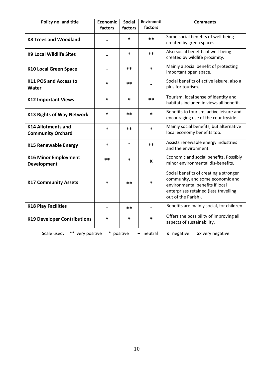| Policy no. and title                                                                         | <b>Economic</b><br>factors | <b>Social</b><br>factors | <b>Envirnmntl</b><br>factors | <b>Comments</b>                                                                                                                                                               |  |
|----------------------------------------------------------------------------------------------|----------------------------|--------------------------|------------------------------|-------------------------------------------------------------------------------------------------------------------------------------------------------------------------------|--|
| <b>K8 Trees and Woodland</b>                                                                 |                            | *                        | **                           | Some social benefits of well-being<br>created by green spaces.                                                                                                                |  |
| <b>K9 Local Wildlife Sites</b>                                                               |                            | $\ast$                   | $**$                         | Also social benefits of well-being<br>created by wildlife proximity.                                                                                                          |  |
| <b>K10 Local Green Space</b>                                                                 |                            | **                       | $\ast$                       | Mainly a social benefit of protecting<br>important open space.                                                                                                                |  |
| K11 POS and Access to<br><b>Water</b>                                                        | *                          | **                       |                              | Social benefits of active leisure, also a<br>plus for tourism.                                                                                                                |  |
| <b>K12 Important Views</b>                                                                   | *                          | $\ast$                   | **                           | Tourism, local sense of identity and<br>habitats included in views all benefit.                                                                                               |  |
| <b>K13 Rights of Way Network</b>                                                             | *                          | **                       | $\ast$                       | Benefits to tourism, active leisure and<br>encouraging use of the countryside.                                                                                                |  |
| <b>K14 Allotments and</b><br><b>Community Orchard</b>                                        | *                          | **                       | $\ast$                       | Mainly social benefits, but alternative<br>local economy benefits too.                                                                                                        |  |
| <b>K15 Renewable Energy</b>                                                                  | *                          | $\blacksquare$           | $**$                         | Assists renewable energy industries<br>and the environment.                                                                                                                   |  |
| <b>K16 Minor Employment</b><br>Development                                                   | **                         | $\ast$                   | X                            | Economic and social benefits. Possibly<br>minor environmental dis-benefits.                                                                                                   |  |
| <b>K17 Community Assets</b>                                                                  | *                          | $***$                    | $\ast$                       | Social benefits of creating a stronger<br>community, and some economic and<br>environmental benefits if local<br>enterprises retained (less travelling<br>out of the Parish). |  |
| <b>K18 Play Facilities</b>                                                                   |                            | **                       | $\blacksquare$               | Benefits are mainly social, for children.                                                                                                                                     |  |
| <b>K19 Developer Contributions</b>                                                           | *                          | *                        | $\ast$                       | Offers the possibility of improving all<br>aspects of sustainability.                                                                                                         |  |
| ** very positive<br>Scale used:<br>* positive<br>x negative<br>xx very negative<br>- neutral |                            |                          |                              |                                                                                                                                                                               |  |